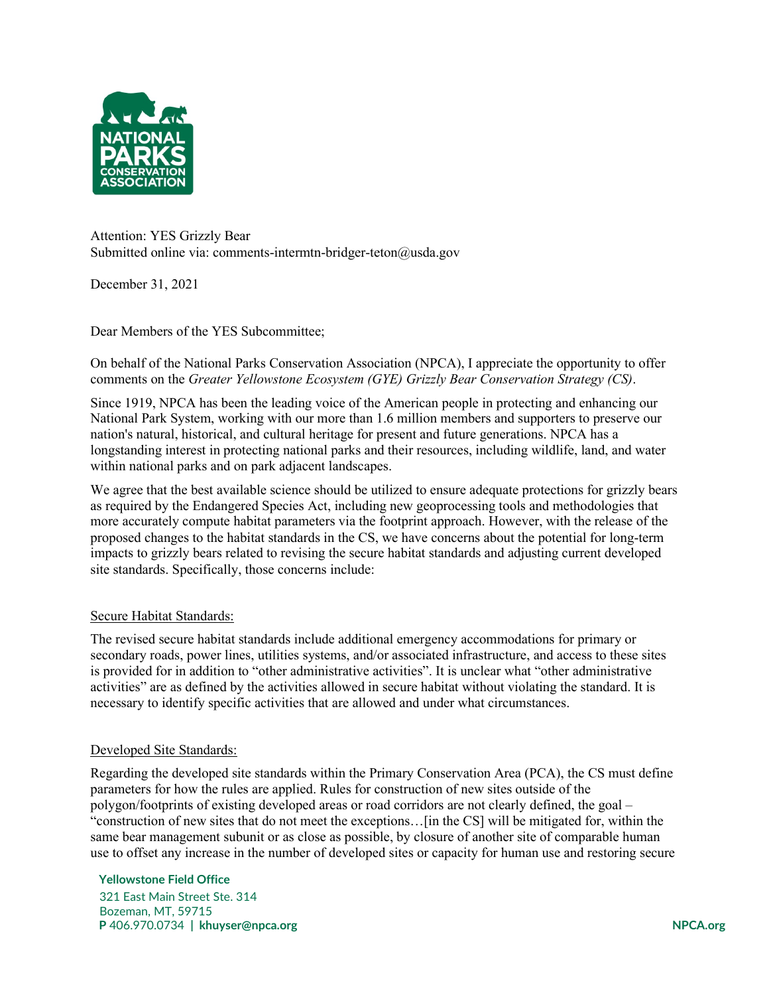

Attention: YES Grizzly Bear Submitted online via: comments-intermtn-bridger-teton@usda.gov

December 31, 2021

Dear Members of the YES Subcommittee;

On behalf of the National Parks Conservation Association (NPCA), I appreciate the opportunity to offer comments on the *Greater Yellowstone Ecosystem (GYE) Grizzly Bear Conservation Strategy (CS)*.

Since 1919, NPCA has been the leading voice of the American people in protecting and enhancing our National Park System, working with our more than 1.6 million members and supporters to preserve our nation's natural, historical, and cultural heritage for present and future generations. NPCA has a longstanding interest in protecting national parks and their resources, including wildlife, land, and water within national parks and on park adjacent landscapes.

We agree that the best available science should be utilized to ensure adequate protections for grizzly bears as required by the Endangered Species Act, including new geoprocessing tools and methodologies that more accurately compute habitat parameters via the footprint approach. However, with the release of the proposed changes to the habitat standards in the CS, we have concerns about the potential for long-term impacts to grizzly bears related to revising the secure habitat standards and adjusting current developed site standards. Specifically, those concerns include:

# Secure Habitat Standards:

The revised secure habitat standards include additional emergency accommodations for primary or secondary roads, power lines, utilities systems, and/or associated infrastructure, and access to these sites is provided for in addition to "other administrative activities". It is unclear what "other administrative activities" are as defined by the activities allowed in secure habitat without violating the standard. It is necessary to identify specific activities that are allowed and under what circumstances.

### Developed Site Standards:

Regarding the developed site standards within the Primary Conservation Area (PCA), the CS must define parameters for how the rules are applied. Rules for construction of new sites outside of the polygon/footprints of existing developed areas or road corridors are not clearly defined, the goal – "construction of new sites that do not meet the exceptions…[in the CS] will be mitigated for, within the same bear management subunit or as close as possible, by closure of another site of comparable human use to offset any increase in the number of developed sites or capacity for human use and restoring secure

### **Yellowstone Field Office**

 321 East Main Street Ste. 314 Bozeman, MT, 59715  **P** 406.970.0734 **| khuyser@npca.org NPCA.org**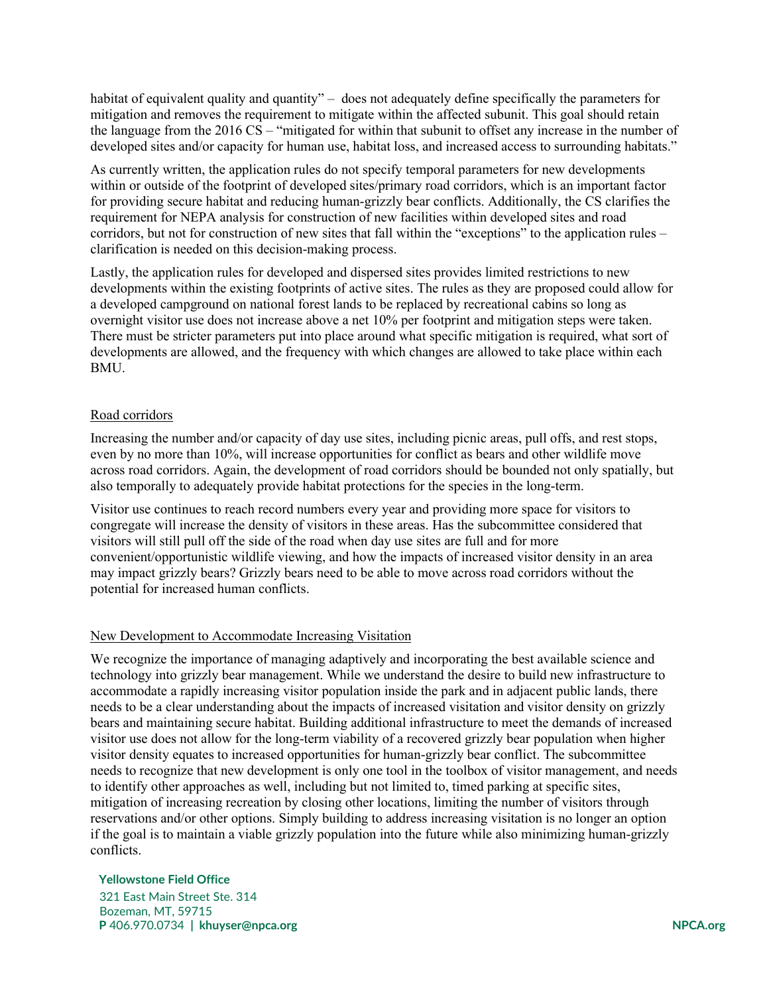habitat of equivalent quality and quantity" – does not adequately define specifically the parameters for mitigation and removes the requirement to mitigate within the affected subunit. This goal should retain the language from the 2016 CS – "mitigated for within that subunit to offset any increase in the number of developed sites and/or capacity for human use, habitat loss, and increased access to surrounding habitats."

As currently written, the application rules do not specify temporal parameters for new developments within or outside of the footprint of developed sites/primary road corridors, which is an important factor for providing secure habitat and reducing human-grizzly bear conflicts. Additionally, the CS clarifies the requirement for NEPA analysis for construction of new facilities within developed sites and road corridors, but not for construction of new sites that fall within the "exceptions" to the application rules – clarification is needed on this decision-making process.

Lastly, the application rules for developed and dispersed sites provides limited restrictions to new developments within the existing footprints of active sites. The rules as they are proposed could allow for a developed campground on national forest lands to be replaced by recreational cabins so long as overnight visitor use does not increase above a net 10% per footprint and mitigation steps were taken. There must be stricter parameters put into place around what specific mitigation is required, what sort of developments are allowed, and the frequency with which changes are allowed to take place within each BMU.

## Road corridors

Increasing the number and/or capacity of day use sites, including picnic areas, pull offs, and rest stops, even by no more than 10%, will increase opportunities for conflict as bears and other wildlife move across road corridors. Again, the development of road corridors should be bounded not only spatially, but also temporally to adequately provide habitat protections for the species in the long-term.

Visitor use continues to reach record numbers every year and providing more space for visitors to congregate will increase the density of visitors in these areas. Has the subcommittee considered that visitors will still pull off the side of the road when day use sites are full and for more convenient/opportunistic wildlife viewing, and how the impacts of increased visitor density in an area may impact grizzly bears? Grizzly bears need to be able to move across road corridors without the potential for increased human conflicts.

### New Development to Accommodate Increasing Visitation

We recognize the importance of managing adaptively and incorporating the best available science and technology into grizzly bear management. While we understand the desire to build new infrastructure to accommodate a rapidly increasing visitor population inside the park and in adjacent public lands, there needs to be a clear understanding about the impacts of increased visitation and visitor density on grizzly bears and maintaining secure habitat. Building additional infrastructure to meet the demands of increased visitor use does not allow for the long-term viability of a recovered grizzly bear population when higher visitor density equates to increased opportunities for human-grizzly bear conflict. The subcommittee needs to recognize that new development is only one tool in the toolbox of visitor management, and needs to identify other approaches as well, including but not limited to, timed parking at specific sites, mitigation of increasing recreation by closing other locations, limiting the number of visitors through reservations and/or other options. Simply building to address increasing visitation is no longer an option if the goal is to maintain a viable grizzly population into the future while also minimizing human-grizzly conflicts.

### **Yellowstone Field Office**

 321 East Main Street Ste. 314 Bozeman, MT, 59715  **P** 406.970.0734 **| khuyser@npca.org NPCA.org**